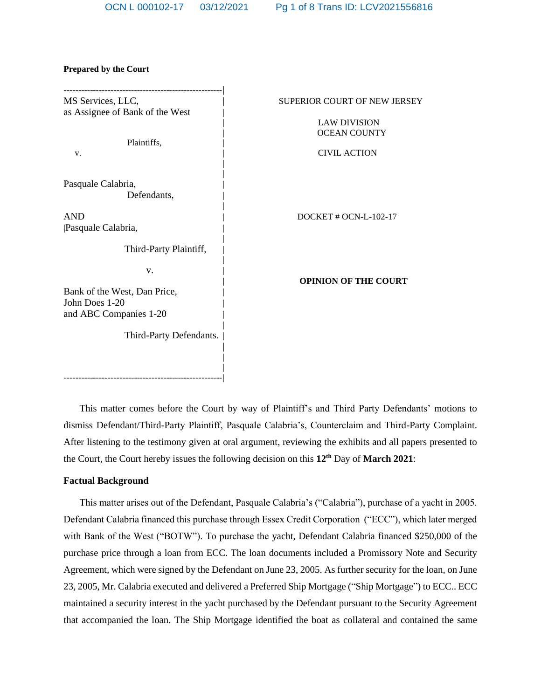| MS Services, LLC,                              | SUPERIOR COURT OF NEW JERSEY |
|------------------------------------------------|------------------------------|
| as Assignee of Bank of the West                |                              |
|                                                | <b>LAW DIVISION</b>          |
| Plaintiffs,                                    | <b>OCEAN COUNTY</b>          |
| V.                                             | <b>CIVIL ACTION</b>          |
| Pasquale Calabria,                             |                              |
| Defendants,                                    |                              |
| <b>AND</b>                                     | DOCKET # OCN-L-102-17        |
| Pasquale Calabria,                             |                              |
| Third-Party Plaintiff,                         |                              |
| V.                                             |                              |
|                                                | <b>OPINION OF THE COURT</b>  |
| Bank of the West, Dan Price,<br>John Does 1-20 |                              |
| and ABC Companies 1-20                         |                              |
| Third-Party Defendants.                        |                              |
|                                                |                              |
|                                                |                              |
| ----------------------------------             |                              |

#### **Prepared by the Court**

This matter comes before the Court by way of Plaintiff's and Third Party Defendants' motions to dismiss Defendant/Third-Party Plaintiff, Pasquale Calabria's, Counterclaim and Third-Party Complaint. After listening to the testimony given at oral argument, reviewing the exhibits and all papers presented to the Court, the Court hereby issues the following decision on this **12th** Day of **March 2021**:

#### **Factual Background**

This matter arises out of the Defendant, Pasquale Calabria's ("Calabria"), purchase of a yacht in 2005. Defendant Calabria financed this purchase through Essex Credit Corporation ("ECC"), which later merged with Bank of the West ("BOTW"). To purchase the yacht, Defendant Calabria financed \$250,000 of the purchase price through a loan from ECC. The loan documents included a Promissory Note and Security Agreement, which were signed by the Defendant on June 23, 2005. As further security for the loan, on June 23, 2005, Mr. Calabria executed and delivered a Preferred Ship Mortgage ("Ship Mortgage") to ECC.. ECC maintained a security interest in the yacht purchased by the Defendant pursuant to the Security Agreement that accompanied the loan. The Ship Mortgage identified the boat as collateral and contained the same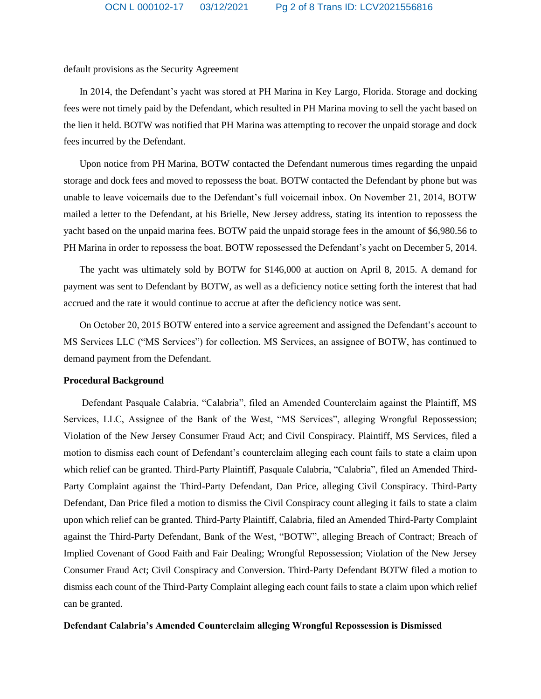default provisions as the Security Agreement

In 2014, the Defendant's yacht was stored at PH Marina in Key Largo, Florida. Storage and docking fees were not timely paid by the Defendant, which resulted in PH Marina moving to sell the yacht based on the lien it held. BOTW was notified that PH Marina was attempting to recover the unpaid storage and dock fees incurred by the Defendant.

Upon notice from PH Marina, BOTW contacted the Defendant numerous times regarding the unpaid storage and dock fees and moved to repossess the boat. BOTW contacted the Defendant by phone but was unable to leave voicemails due to the Defendant's full voicemail inbox. On November 21, 2014, BOTW mailed a letter to the Defendant, at his Brielle, New Jersey address, stating its intention to repossess the yacht based on the unpaid marina fees. BOTW paid the unpaid storage fees in the amount of \$6,980.56 to PH Marina in order to repossess the boat. BOTW repossessed the Defendant's yacht on December 5, 2014.

The yacht was ultimately sold by BOTW for \$146,000 at auction on April 8, 2015. A demand for payment was sent to Defendant by BOTW, as well as a deficiency notice setting forth the interest that had accrued and the rate it would continue to accrue at after the deficiency notice was sent.

On October 20, 2015 BOTW entered into a service agreement and assigned the Defendant's account to MS Services LLC ("MS Services") for collection. MS Services, an assignee of BOTW, has continued to demand payment from the Defendant.

### **Procedural Background**

Defendant Pasquale Calabria, "Calabria", filed an Amended Counterclaim against the Plaintiff, MS Services, LLC, Assignee of the Bank of the West, "MS Services", alleging Wrongful Repossession; Violation of the New Jersey Consumer Fraud Act; and Civil Conspiracy. Plaintiff, MS Services, filed a motion to dismiss each count of Defendant's counterclaim alleging each count fails to state a claim upon which relief can be granted. Third-Party Plaintiff, Pasquale Calabria, "Calabria", filed an Amended Third-Party Complaint against the Third-Party Defendant, Dan Price, alleging Civil Conspiracy. Third-Party Defendant, Dan Price filed a motion to dismiss the Civil Conspiracy count alleging it fails to state a claim upon which relief can be granted. Third-Party Plaintiff, Calabria, filed an Amended Third-Party Complaint against the Third-Party Defendant, Bank of the West, "BOTW", alleging Breach of Contract; Breach of Implied Covenant of Good Faith and Fair Dealing; Wrongful Repossession; Violation of the New Jersey Consumer Fraud Act; Civil Conspiracy and Conversion. Third-Party Defendant BOTW filed a motion to dismiss each count of the Third-Party Complaint alleging each count fails to state a claim upon which relief can be granted.

## **Defendant Calabria's Amended Counterclaim alleging Wrongful Repossession is Dismissed**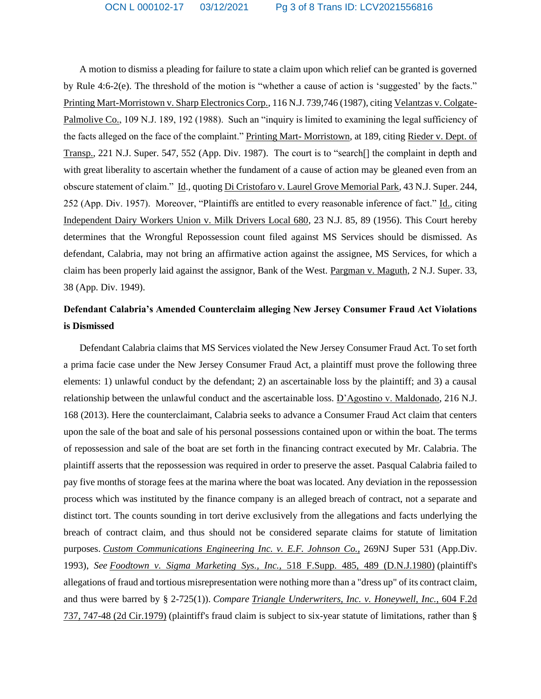A motion to dismiss a pleading for failure to state a claim upon which relief can be granted is governed by Rule 4:6-2(e). The threshold of the motion is "whether a cause of action is 'suggested' by the facts." Printing Mart-Morristown v. Sharp Electronics Corp., 116 N.J. 739,746 (1987), citing Velantzas v. Colgate-Palmolive Co., 109 N.J. 189, 192 (1988). Such an "inquiry is limited to examining the legal sufficiency of the facts alleged on the face of the complaint." Printing Mart- Morristown, at 189, citing Rieder v. Dept. of Transp., 221 N.J. Super. 547, 552 (App. Div. 1987). The court is to "search[] the complaint in depth and with great liberality to ascertain whether the fundament of a cause of action may be gleaned even from an obscure statement of claim." Id., quoting Di Cristofaro v. Laurel Grove Memorial Park, 43 N.J. Super. 244, 252 (App. Div. 1957). Moreover, "Plaintiffs are entitled to every reasonable inference of fact." Id., citing Independent Dairy Workers Union v. Milk Drivers Local 680, 23 N.J. 85, 89 (1956). This Court hereby determines that the Wrongful Repossession count filed against MS Services should be dismissed. As defendant, Calabria, may not bring an affirmative action against the assignee, MS Services, for which a claim has been properly laid against the assignor, Bank of the West. Pargman v. Maguth, 2 N.J. Super. 33, 38 (App. Div. 1949).

## **Defendant Calabria's Amended Counterclaim alleging New Jersey Consumer Fraud Act Violations is Dismissed**

Defendant Calabria claims that MS Services violated the New Jersey Consumer Fraud Act. To set forth a prima facie case under the New Jersey Consumer Fraud Act, a plaintiff must prove the following three elements: 1) unlawful conduct by the defendant; 2) an ascertainable loss by the plaintiff; and 3) a causal relationship between the unlawful conduct and the ascertainable loss. D'Agostino v. Maldonado, 216 N.J. 168 (2013). Here the counterclaimant, Calabria seeks to advance a Consumer Fraud Act claim that centers upon the sale of the boat and sale of his personal possessions contained upon or within the boat. The terms of repossession and sale of the boat are set forth in the financing contract executed by Mr. Calabria. The plaintiff asserts that the repossession was required in order to preserve the asset. Pasqual Calabria failed to pay five months of storage fees at the marina where the boat was located. Any deviation in the repossession process which was instituted by the finance company is an alleged breach of contract, not a separate and distinct tort. The counts sounding in tort derive exclusively from the allegations and facts underlying the breach of contract claim, and thus should not be considered separate claims for statute of limitation purposes. *Custom Communications Engineering Inc. v. E.F. Johnson Co.,* 269NJ Super 531 (App.Div. 1993), *See Foodtown v. Sigma Marketing Sys., Inc.*, 518 F.Supp. 485, 489 [\(D.N.J.1980\)](https://advance.lexis.com/search/?pdmfid=1000516&crid=ace9b08c-adf2-4272-a607-c14b1a1ff5aa&pdsearchterms=269+NJ+Super+531&pdtypeofsearch=searchboxclick&pdsearchtype=SearchBox&pdstartin=&pdpsf=&pdqttype=and&pdquerytemplateid=&ecomp=4ys5kkk&earg=pdsf&prid=6e4f944f-96a9-42f3-88b7-c00e98661251) (plaintiff's allegations of fraud and tortious misrepresentation were nothing more than a "dress up" of its contract claim, and thus were barred by § 2-725(1)). *Compare Triangle [Underwriters,](https://advance.lexis.com/search/?pdmfid=1000516&crid=ace9b08c-adf2-4272-a607-c14b1a1ff5aa&pdsearchterms=269+NJ+Super+531&pdtypeofsearch=searchboxclick&pdsearchtype=SearchBox&pdstartin=&pdpsf=&pdqttype=and&pdquerytemplateid=&ecomp=4ys5kkk&earg=pdsf&prid=6e4f944f-96a9-42f3-88b7-c00e98661251) Inc. v. Honeywell, Inc.*, 604 F.2d 737, 747-48 (2d [Cir.1979\)](https://advance.lexis.com/search/?pdmfid=1000516&crid=ace9b08c-adf2-4272-a607-c14b1a1ff5aa&pdsearchterms=269+NJ+Super+531&pdtypeofsearch=searchboxclick&pdsearchtype=SearchBox&pdstartin=&pdpsf=&pdqttype=and&pdquerytemplateid=&ecomp=4ys5kkk&earg=pdsf&prid=6e4f944f-96a9-42f3-88b7-c00e98661251) (plaintiff's fraud claim is subject to six-year statute of limitations, rather than §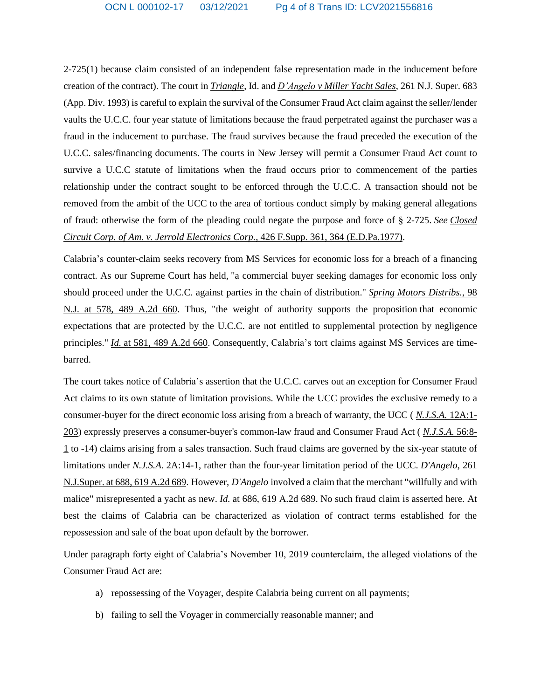2-725(1) because claim consisted of an independent false representation made in the inducement before creation of the contract). The court in *Triangle*, Id. and *D'Angelo v Miller Yacht Sales*, 261 N.J. Super. 683 (App. Div. 1993) is careful to explain the survival of the Consumer Fraud Act claim against the seller/lender vaults the U.C.C. four year statute of limitations because the fraud perpetrated against the purchaser was a fraud in the inducement to purchase. The fraud survives because the fraud preceded the execution of the U.C.C. sales/financing documents. The courts in New Jersey will permit a Consumer Fraud Act count to survive a U.C.C statute of limitations when the fraud occurs prior to commencement of the parties relationship under the contract sought to be enforced through the U.C.C. A transaction should not be removed from the ambit of the UCC to the area of tortious conduct simply by making general allegations of fraud: otherwise the form of the pleading could negate the purpose and force of § 2-725. *See [Closed](https://advance.lexis.com/search/?pdmfid=1000516&crid=ace9b08c-adf2-4272-a607-c14b1a1ff5aa&pdsearchterms=269+NJ+Super+531&pdtypeofsearch=searchboxclick&pdsearchtype=SearchBox&pdstartin=&pdpsf=&pdqttype=and&pdquerytemplateid=&ecomp=4ys5kkk&earg=pdsf&prid=6e4f944f-96a9-42f3-88b7-c00e98661251) Circuit Corp. of Am. v. Jerrold Electronics Corp.*, 426 F.Supp. 361, 364 [\(E.D.Pa.1977\).](https://advance.lexis.com/search/?pdmfid=1000516&crid=ace9b08c-adf2-4272-a607-c14b1a1ff5aa&pdsearchterms=269+NJ+Super+531&pdtypeofsearch=searchboxclick&pdsearchtype=SearchBox&pdstartin=&pdpsf=&pdqttype=and&pdquerytemplateid=&ecomp=4ys5kkk&earg=pdsf&prid=6e4f944f-96a9-42f3-88b7-c00e98661251)

Calabria's counter-claim seeks recovery from MS Services for economic loss for a breach of a financing contract. As our Supreme Court has held, "a commercial buyer seeking damages for economic loss only should proceed under the U.C.C. against parties in the chain of distribution." *Spring Motors [Distribs.](https://advance.lexis.com/search/?pdmfid=1000516&crid=ace9b08c-adf2-4272-a607-c14b1a1ff5aa&pdsearchterms=269+NJ+Super+531&pdtypeofsearch=searchboxclick&pdsearchtype=SearchBox&pdstartin=&pdpsf=&pdqttype=and&pdquerytemplateid=&ecomp=4ys5kkk&earg=pdsf&prid=6e4f944f-96a9-42f3-88b7-c00e98661251)*, 98 N.J. at 578, 489 [A.2d](https://advance.lexis.com/search/?pdmfid=1000516&crid=ace9b08c-adf2-4272-a607-c14b1a1ff5aa&pdsearchterms=269+NJ+Super+531&pdtypeofsearch=searchboxclick&pdsearchtype=SearchBox&pdstartin=&pdpsf=&pdqttype=and&pdquerytemplateid=&ecomp=4ys5kkk&earg=pdsf&prid=6e4f944f-96a9-42f3-88b7-c00e98661251) 660. Thus, "the weight of authority supports the proposition that economic expectations that are protected by the U.C.C. are not entitled to supplemental protection by negligence principles." *Id.* at 581, 489 [A.2d](https://advance.lexis.com/search/?pdmfid=1000516&crid=ace9b08c-adf2-4272-a607-c14b1a1ff5aa&pdsearchterms=269+NJ+Super+531&pdtypeofsearch=searchboxclick&pdsearchtype=SearchBox&pdstartin=&pdpsf=&pdqttype=and&pdquerytemplateid=&ecomp=4ys5kkk&earg=pdsf&prid=6e4f944f-96a9-42f3-88b7-c00e98661251) 660. Consequently, Calabria's tort claims against MS Services are timebarred.

The court takes notice of Calabria's assertion that the U.C.C. carves out an exception for Consumer Fraud Act claims to its own statute of limitation provisions. While the UCC provides the exclusive remedy to a consumer-buyer for the direct economic loss arising from a breach of warranty, the UCC ( *[N.J.S.A.](https://advance.lexis.com/search/?pdmfid=1000516&crid=ace9b08c-adf2-4272-a607-c14b1a1ff5aa&pdsearchterms=269+NJ+Super+531&pdtypeofsearch=searchboxclick&pdsearchtype=SearchBox&pdstartin=&pdpsf=&pdqttype=and&pdquerytemplateid=&ecomp=4ys5kkk&earg=pdsf&prid=6e4f944f-96a9-42f3-88b7-c00e98661251)* 12A:1- [203\)](https://advance.lexis.com/search/?pdmfid=1000516&crid=ace9b08c-adf2-4272-a607-c14b1a1ff5aa&pdsearchterms=269+NJ+Super+531&pdtypeofsearch=searchboxclick&pdsearchtype=SearchBox&pdstartin=&pdpsf=&pdqttype=and&pdquerytemplateid=&ecomp=4ys5kkk&earg=pdsf&prid=6e4f944f-96a9-42f3-88b7-c00e98661251) expressly preserves a consumer-buyer's common-law fraud and Consumer Fraud Act ( *[N.J.S.A.](https://advance.lexis.com/search/?pdmfid=1000516&crid=ace9b08c-adf2-4272-a607-c14b1a1ff5aa&pdsearchterms=269+NJ+Super+531&pdtypeofsearch=searchboxclick&pdsearchtype=SearchBox&pdstartin=&pdpsf=&pdqttype=and&pdquerytemplateid=&ecomp=4ys5kkk&earg=pdsf&prid=6e4f944f-96a9-42f3-88b7-c00e98661251)* 56:8- [1](https://advance.lexis.com/search/?pdmfid=1000516&crid=ace9b08c-adf2-4272-a607-c14b1a1ff5aa&pdsearchterms=269+NJ+Super+531&pdtypeofsearch=searchboxclick&pdsearchtype=SearchBox&pdstartin=&pdpsf=&pdqttype=and&pdquerytemplateid=&ecomp=4ys5kkk&earg=pdsf&prid=6e4f944f-96a9-42f3-88b7-c00e98661251) to -14) claims arising from a sales transaction. Such fraud claims are governed by the six-year statute of limitations under *N.J.S.A.* [2A:14-1,](https://advance.lexis.com/search/?pdmfid=1000516&crid=ace9b08c-adf2-4272-a607-c14b1a1ff5aa&pdsearchterms=269+NJ+Super+531&pdtypeofsearch=searchboxclick&pdsearchtype=SearchBox&pdstartin=&pdpsf=&pdqttype=and&pdquerytemplateid=&ecomp=4ys5kkk&earg=pdsf&prid=6e4f944f-96a9-42f3-88b7-c00e98661251) rather than the four-year limitation period of the UCC. *[D'Angelo](https://advance.lexis.com/search/?pdmfid=1000516&crid=ace9b08c-adf2-4272-a607-c14b1a1ff5aa&pdsearchterms=269+NJ+Super+531&pdtypeofsearch=searchboxclick&pdsearchtype=SearchBox&pdstartin=&pdpsf=&pdqttype=and&pdquerytemplateid=&ecomp=4ys5kkk&earg=pdsf&prid=6e4f944f-96a9-42f3-88b7-c00e98661251)*, 261 [N.J.Super.](https://advance.lexis.com/search/?pdmfid=1000516&crid=ace9b08c-adf2-4272-a607-c14b1a1ff5aa&pdsearchterms=269+NJ+Super+531&pdtypeofsearch=searchboxclick&pdsearchtype=SearchBox&pdstartin=&pdpsf=&pdqttype=and&pdquerytemplateid=&ecomp=4ys5kkk&earg=pdsf&prid=6e4f944f-96a9-42f3-88b7-c00e98661251) at 688, 619 A.2d 689. However, *D'Angelo* involved a claim that the merchant "willfully and with malice" misrepresented a yacht as new. *Id.* at 686, 619 [A.2d](https://advance.lexis.com/search/?pdmfid=1000516&crid=ace9b08c-adf2-4272-a607-c14b1a1ff5aa&pdsearchterms=269+NJ+Super+531&pdtypeofsearch=searchboxclick&pdsearchtype=SearchBox&pdstartin=&pdpsf=&pdqttype=and&pdquerytemplateid=&ecomp=4ys5kkk&earg=pdsf&prid=6e4f944f-96a9-42f3-88b7-c00e98661251) 689. No such fraud claim is asserted here. At best the claims of Calabria can be characterized as violation of contract terms established for the repossession and sale of the boat upon default by the borrower.

Under paragraph forty eight of Calabria's November 10, 2019 counterclaim, the alleged violations of the Consumer Fraud Act are:

- a) repossessing of the Voyager, despite Calabria being current on all payments;
- b) failing to sell the Voyager in commercially reasonable manner; and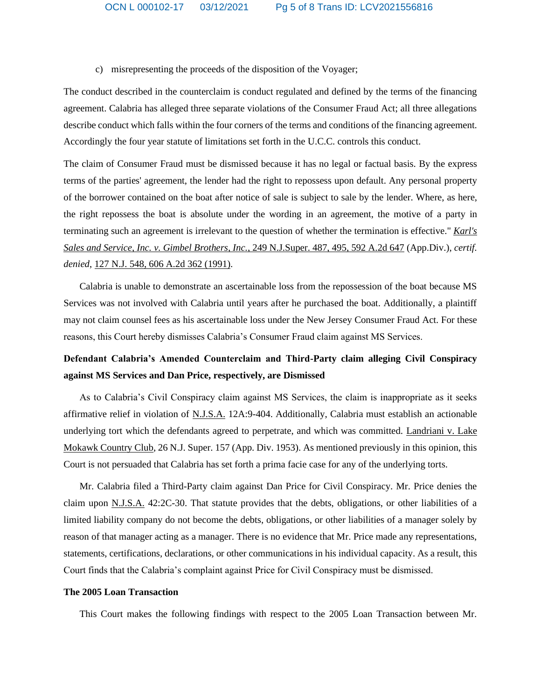c) misrepresenting the proceeds of the disposition of the Voyager;

The conduct described in the counterclaim is conduct regulated and defined by the terms of the financing agreement. Calabria has alleged three separate violations of the Consumer Fraud Act; all three allegations describe conduct which falls within the four corners of the terms and conditions of the financing agreement. Accordingly the four year statute of limitations set forth in the U.C.C. controls this conduct.

The claim of Consumer Fraud must be dismissed because it has no legal or factual basis. By the express terms of the parties' agreement, the lender had the right to repossess upon default. Any personal property of the borrower contained on the boat after notice of sale is subject to sale by the lender. Where, as here, the right repossess the boat is absolute under the wording in an agreement, the motive of a party in terminating such an agreement is irrelevant to the question of whether the termination is effective." *[Karl's](https://advance.lexis.com/search/?pdmfid=1000516&crid=ace9b08c-adf2-4272-a607-c14b1a1ff5aa&pdsearchterms=269+NJ+Super+531&pdtypeofsearch=searchboxclick&pdsearchtype=SearchBox&pdstartin=&pdpsf=&pdqttype=and&pdquerytemplateid=&ecomp=4ys5kkk&earg=pdsf&prid=6e4f944f-96a9-42f3-88b7-c00e98661251) Sales and Service, Inc. v. Gimbel Brothers, Inc.*, 249 [N.J.Super.](https://advance.lexis.com/search/?pdmfid=1000516&crid=ace9b08c-adf2-4272-a607-c14b1a1ff5aa&pdsearchterms=269+NJ+Super+531&pdtypeofsearch=searchboxclick&pdsearchtype=SearchBox&pdstartin=&pdpsf=&pdqttype=and&pdquerytemplateid=&ecomp=4ys5kkk&earg=pdsf&prid=6e4f944f-96a9-42f3-88b7-c00e98661251) 487, 495, 592 A.2d 647 (App.Div.), *certif. denied*, 127 N.J. 548, 606 A.2d 362 [\(1991\).](https://advance.lexis.com/search/?pdmfid=1000516&crid=ace9b08c-adf2-4272-a607-c14b1a1ff5aa&pdsearchterms=269+NJ+Super+531&pdtypeofsearch=searchboxclick&pdsearchtype=SearchBox&pdstartin=&pdpsf=&pdqttype=and&pdquerytemplateid=&ecomp=4ys5kkk&earg=pdsf&prid=6e4f944f-96a9-42f3-88b7-c00e98661251)

Calabria is unable to demonstrate an ascertainable loss from the repossession of the boat because MS Services was not involved with Calabria until years after he purchased the boat. Additionally, a plaintiff may not claim counsel fees as his ascertainable loss under the New Jersey Consumer Fraud Act. For these reasons, this Court hereby dismisses Calabria's Consumer Fraud claim against MS Services.

# **Defendant Calabria's Amended Counterclaim and Third-Party claim alleging Civil Conspiracy against MS Services and Dan Price, respectively, are Dismissed**

As to Calabria's Civil Conspiracy claim against MS Services, the claim is inappropriate as it seeks affirmative relief in violation of N.J.S.A. 12A:9-404. Additionally, Calabria must establish an actionable underlying tort which the defendants agreed to perpetrate, and which was committed. Landriani v. Lake Mokawk Country Club, 26 N.J. Super. 157 (App. Div. 1953). As mentioned previously in this opinion, this Court is not persuaded that Calabria has set forth a prima facie case for any of the underlying torts.

Mr. Calabria filed a Third-Party claim against Dan Price for Civil Conspiracy. Mr. Price denies the claim upon N.J.S.A. 42:2C-30. That statute provides that the debts, obligations, or other liabilities of a limited liability company do not become the debts, obligations, or other liabilities of a manager solely by reason of that manager acting as a manager. There is no evidence that Mr. Price made any representations, statements, certifications, declarations, or other communications in his individual capacity. As a result, this Court finds that the Calabria's complaint against Price for Civil Conspiracy must be dismissed.

### **The 2005 Loan Transaction**

This Court makes the following findings with respect to the 2005 Loan Transaction between Mr.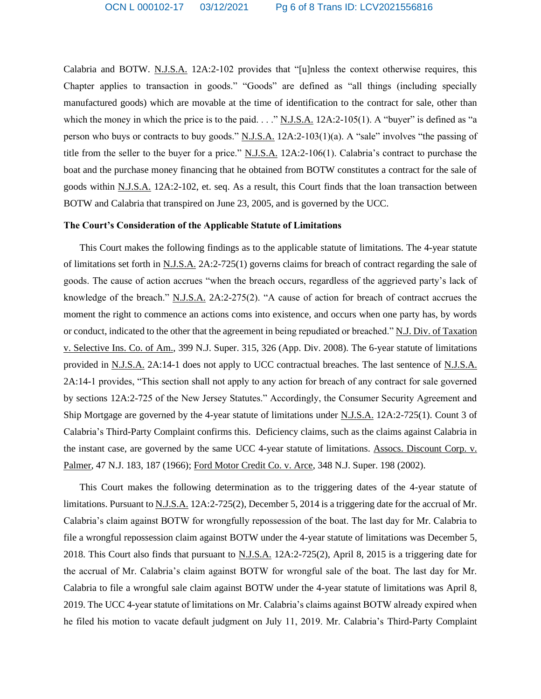Calabria and BOTW. N.J.S.A. 12A:2-102 provides that "[u]nless the context otherwise requires, this Chapter applies to transaction in goods." "Goods" are defined as "all things (including specially manufactured goods) which are movable at the time of identification to the contract for sale, other than which the money in which the price is to the paid. . . . " N.J.S.A. 12A:2-105(1). A "buyer" is defined as "a person who buys or contracts to buy goods." N.J.S.A. 12A:2-103(1)(a). A "sale" involves "the passing of title from the seller to the buyer for a price." N.J.S.A. 12A:2-106(1). Calabria's contract to purchase the boat and the purchase money financing that he obtained from BOTW constitutes a contract for the sale of goods within N.J.S.A. 12A:2-102, et. seq. As a result, this Court finds that the loan transaction between BOTW and Calabria that transpired on June 23, 2005, and is governed by the UCC.

### **The Court's Consideration of the Applicable Statute of Limitations**

This Court makes the following findings as to the applicable statute of limitations. The 4-year statute of limitations set forth in N.J.S.A. 2A:2-725(1) governs claims for breach of contract regarding the sale of goods. The cause of action accrues "when the breach occurs, regardless of the aggrieved party's lack of knowledge of the breach." N.J.S.A. 2A:2-275(2). "A cause of action for breach of contract accrues the moment the right to commence an actions coms into existence, and occurs when one party has, by words or conduct, indicated to the other that the agreement in being repudiated or breached." N.J. Div. of Taxation v. Selective Ins. Co. of Am., 399 N.J. Super. 315, 326 (App. Div. 2008). The 6-year statute of limitations provided in N.J.S.A. 2A:14-1 does not apply to UCC contractual breaches. The last sentence of N.J.S.A. 2A:14-1 provides, "This section shall not apply to any action for breach of any contract for sale governed by sections 12A:2-725 of the New Jersey Statutes." Accordingly, the Consumer Security Agreement and Ship Mortgage are governed by the 4-year statute of limitations under N.J.S.A. 12A:2-725(1). Count 3 of Calabria's Third-Party Complaint confirms this. Deficiency claims, such as the claims against Calabria in the instant case, are governed by the same UCC 4-year statute of limitations. Assocs. Discount Corp. v. Palmer, 47 N.J. 183, 187 (1966); Ford Motor Credit Co. v. Arce, 348 N.J. Super. 198 (2002).

This Court makes the following determination as to the triggering dates of the 4-year statute of limitations. Pursuant to N.J.S.A. 12A:2-725(2), December 5, 2014 is a triggering date for the accrual of Mr. Calabria's claim against BOTW for wrongfully repossession of the boat. The last day for Mr. Calabria to file a wrongful repossession claim against BOTW under the 4-year statute of limitations was December 5, 2018. This Court also finds that pursuant to N.J.S.A. 12A:2-725(2), April 8, 2015 is a triggering date for the accrual of Mr. Calabria's claim against BOTW for wrongful sale of the boat. The last day for Mr. Calabria to file a wrongful sale claim against BOTW under the 4-year statute of limitations was April 8, 2019. The UCC 4-year statute of limitations on Mr. Calabria's claims against BOTW already expired when he filed his motion to vacate default judgment on July 11, 2019. Mr. Calabria's Third-Party Complaint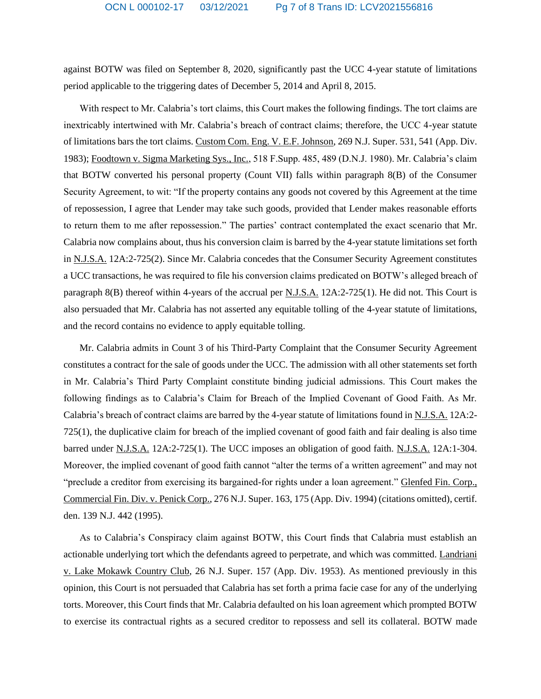against BOTW was filed on September 8, 2020, significantly past the UCC 4-year statute of limitations period applicable to the triggering dates of December 5, 2014 and April 8, 2015.

With respect to Mr. Calabria's tort claims, this Court makes the following findings. The tort claims are inextricably intertwined with Mr. Calabria's breach of contract claims; therefore, the UCC 4-year statute of limitations bars the tort claims. Custom Com. Eng. V. E.F. Johnson, 269 N.J. Super. 531, 541 (App. Div. 1983); Foodtown v. Sigma Marketing Sys., Inc., 518 F.Supp. 485, 489 (D.N.J. 1980). Mr. Calabria's claim that BOTW converted his personal property (Count VII) falls within paragraph 8(B) of the Consumer Security Agreement, to wit: "If the property contains any goods not covered by this Agreement at the time of repossession, I agree that Lender may take such goods, provided that Lender makes reasonable efforts to return them to me after repossession." The parties' contract contemplated the exact scenario that Mr. Calabria now complains about, thus his conversion claim is barred by the 4-year statute limitations set forth in N.J.S.A. 12A:2-725(2). Since Mr. Calabria concedes that the Consumer Security Agreement constitutes a UCC transactions, he was required to file his conversion claims predicated on BOTW's alleged breach of paragraph 8(B) thereof within 4-years of the accrual per N.J.S.A. 12A:2-725(1). He did not. This Court is also persuaded that Mr. Calabria has not asserted any equitable tolling of the 4-year statute of limitations, and the record contains no evidence to apply equitable tolling.

Mr. Calabria admits in Count 3 of his Third-Party Complaint that the Consumer Security Agreement constitutes a contract for the sale of goods under the UCC. The admission with all other statements set forth in Mr. Calabria's Third Party Complaint constitute binding judicial admissions. This Court makes the following findings as to Calabria's Claim for Breach of the Implied Covenant of Good Faith. As Mr. Calabria's breach of contract claims are barred by the 4-year statute of limitations found in N.J.S.A. 12A:2- 725(1), the duplicative claim for breach of the implied covenant of good faith and fair dealing is also time barred under N.J.S.A. 12A:2-725(1). The UCC imposes an obligation of good faith. N.J.S.A. 12A:1-304. Moreover, the implied covenant of good faith cannot "alter the terms of a written agreement" and may not "preclude a creditor from exercising its bargained-for rights under a loan agreement." Glenfed Fin. Corp., Commercial Fin. Div. v. Penick Corp., 276 N.J. Super. 163, 175 (App. Div. 1994) (citations omitted), certif. den. 139 N.J. 442 (1995).

As to Calabria's Conspiracy claim against BOTW, this Court finds that Calabria must establish an actionable underlying tort which the defendants agreed to perpetrate, and which was committed. Landriani v. Lake Mokawk Country Club, 26 N.J. Super. 157 (App. Div. 1953). As mentioned previously in this opinion, this Court is not persuaded that Calabria has set forth a prima facie case for any of the underlying torts. Moreover, this Court finds that Mr. Calabria defaulted on his loan agreement which prompted BOTW to exercise its contractual rights as a secured creditor to repossess and sell its collateral. BOTW made